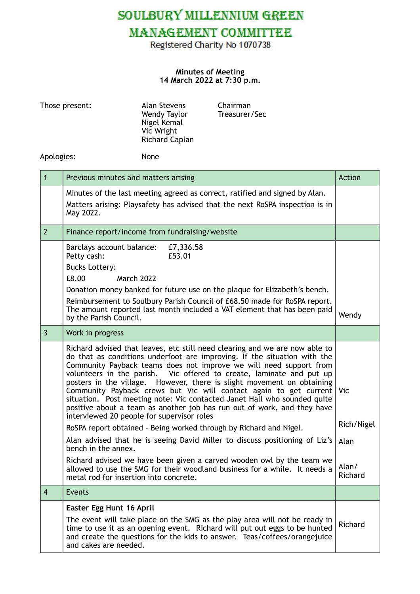SOULBURY MILLENNIUM GREEN

## **MANAGEMENT COMMITTEE**

Registered Charity No 1070738

## **Minutes of Meeting 14 March 2022 at 7:30 p.m.**

| Those present: |                                                                                                 | Alan Stevens<br>Wendy Taylor<br>Nigel Kemal<br>Vic Wright<br>Richard Caplan | Chairman<br>Treasurer/Sec                                                                                                                                                                                                                                                                                                                                                                                                                                                                                                                                                                                   |                  |
|----------------|-------------------------------------------------------------------------------------------------|-----------------------------------------------------------------------------|-------------------------------------------------------------------------------------------------------------------------------------------------------------------------------------------------------------------------------------------------------------------------------------------------------------------------------------------------------------------------------------------------------------------------------------------------------------------------------------------------------------------------------------------------------------------------------------------------------------|------------------|
| Apologies:     |                                                                                                 | None                                                                        |                                                                                                                                                                                                                                                                                                                                                                                                                                                                                                                                                                                                             |                  |
| $\mathbf{1}$   | Previous minutes and matters arising                                                            |                                                                             |                                                                                                                                                                                                                                                                                                                                                                                                                                                                                                                                                                                                             | Action           |
|                | May 2022.                                                                                       |                                                                             | Minutes of the last meeting agreed as correct, ratified and signed by Alan.<br>Matters arising: Playsafety has advised that the next RoSPA inspection is in                                                                                                                                                                                                                                                                                                                                                                                                                                                 |                  |
| 2 <sup>2</sup> | Finance report/income from fundraising/website                                                  |                                                                             |                                                                                                                                                                                                                                                                                                                                                                                                                                                                                                                                                                                                             |                  |
|                | Barclays account balance:<br>Petty cash:<br><b>Bucks Lottery:</b><br>£8.00<br><b>March 2022</b> | £7,336.58<br>£53.01                                                         |                                                                                                                                                                                                                                                                                                                                                                                                                                                                                                                                                                                                             |                  |
|                | by the Parish Council.                                                                          |                                                                             | Donation money banked for future use on the plaque for Elizabeth's bench.<br>Reimbursement to Soulbury Parish Council of £68.50 made for RoSPA report.<br>The amount reported last month included a VAT element that has been paid                                                                                                                                                                                                                                                                                                                                                                          | Wendy            |
| $\overline{3}$ | Work in progress                                                                                |                                                                             |                                                                                                                                                                                                                                                                                                                                                                                                                                                                                                                                                                                                             |                  |
|                |                                                                                                 | interviewed 20 people for supervisor roles                                  | Richard advised that leaves, etc still need clearing and we are now able to<br>do that as conditions underfoot are improving. If the situation with the<br>Community Payback teams does not improve we will need support from<br>volunteers in the parish. Vic offered to create, laminate and put up<br>posters in the village. However, there is slight movement on obtaining<br>Community Payback crews but Vic will contact again to get current<br>situation. Post meeting note: Vic contacted Janet Hall who sounded quite<br>positive about a team as another job has run out of work, and they have | Vic              |
|                |                                                                                                 |                                                                             | RoSPA report obtained - Being worked through by Richard and Nigel.                                                                                                                                                                                                                                                                                                                                                                                                                                                                                                                                          | Rich/Nigel       |
|                | bench in the annex.                                                                             |                                                                             | Alan advised that he is seeing David Miller to discuss positioning of Liz's                                                                                                                                                                                                                                                                                                                                                                                                                                                                                                                                 | Alan             |
|                | metal rod for insertion into concrete.                                                          |                                                                             | Richard advised we have been given a carved wooden owl by the team we<br>allowed to use the SMG for their woodland business for a while. It needs a                                                                                                                                                                                                                                                                                                                                                                                                                                                         | Alan/<br>Richard |
| $\overline{4}$ | <b>Events</b>                                                                                   |                                                                             |                                                                                                                                                                                                                                                                                                                                                                                                                                                                                                                                                                                                             |                  |
|                | Easter Egg Hunt 16 April                                                                        |                                                                             |                                                                                                                                                                                                                                                                                                                                                                                                                                                                                                                                                                                                             |                  |
|                | and cakes are needed.                                                                           |                                                                             | The event will take place on the SMG as the play area will not be ready in<br>time to use it as an opening event. Richard will put out eggs to be hunted<br>and create the questions for the kids to answer. Teas/coffees/orangejuice                                                                                                                                                                                                                                                                                                                                                                       | Richard          |